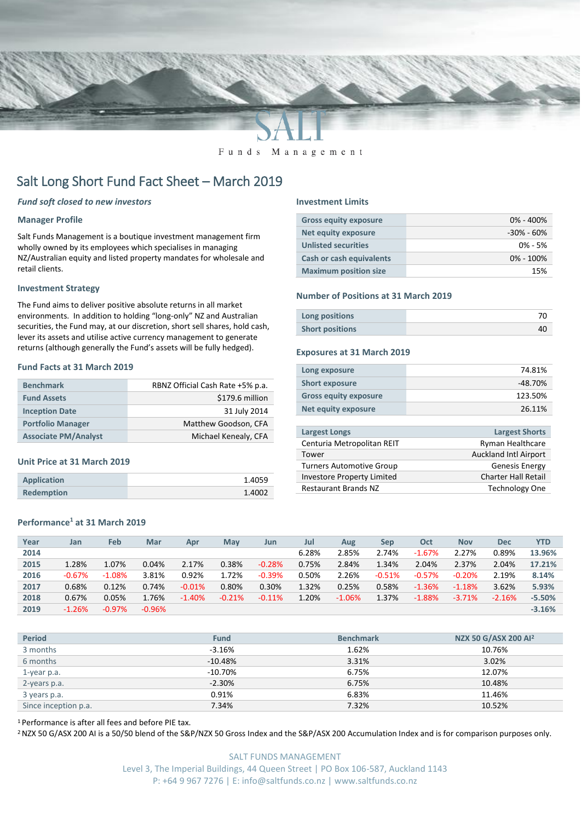

Funds Management

# Salt Long Short Fund Fact Sheet – March 2019

### *Fund soft closed to new investors*

#### **Manager Profile**

Salt Funds Management is a boutique investment management firm wholly owned by its employees which specialises in managing NZ/Australian equity and listed property mandates for wholesale and retail clients.

#### **Investment Strategy**

The Fund aims to deliver positive absolute returns in all market environments. In addition to holding "long-only" NZ and Australian securities, the Fund may, at our discretion, short sell shares, hold cash, lever its assets and utilise active currency management to generate returns (although generally the Fund's assets will be fully hedged).

## **Fund Facts at 31 March 2019**

| <b>Benchmark</b>            | RBNZ Official Cash Rate +5% p.a. |
|-----------------------------|----------------------------------|
| <b>Fund Assets</b>          | \$179.6 million                  |
| <b>Inception Date</b>       | 31 July 2014                     |
| <b>Portfolio Manager</b>    | Matthew Goodson, CFA             |
| <b>Associate PM/Analyst</b> | Michael Kenealy, CFA             |

#### **Unit Price at 31 March 2019**

| <b>Application</b> | 1.4059 |
|--------------------|--------|
| <b>Redemption</b>  | 1.4002 |

# **Performance<sup>1</sup> at 31 March 2019**

#### **Investment Limits**

| <b>Gross equity exposure</b>    | $0\% - 400\%$  |
|---------------------------------|----------------|
| <b>Net equity exposure</b>      | $-30\% - 60\%$ |
| <b>Unlisted securities</b>      | $0\% - 5\%$    |
| <b>Cash or cash equivalents</b> | $0\% - 100\%$  |
| <b>Maximum position size</b>    | 15%            |

#### **Number of Positions at 31 March 2019**

| Long positions         |  |
|------------------------|--|
| <b>Short positions</b> |  |

#### **Exposures at 31 March 2019**

| Long exposure                | 74.81%    |
|------------------------------|-----------|
| <b>Short exposure</b>        | $-48.70%$ |
| <b>Gross equity exposure</b> | 123.50%   |
| Net equity exposure          | 26.11%    |
|                              |           |

| <b>Largest Longs</b>              | <b>Largest Shorts</b>        |
|-----------------------------------|------------------------------|
| Centuria Metropolitan REIT        | <b>Ryman Healthcare</b>      |
| Tower                             | <b>Auckland Intl Airport</b> |
| <b>Turners Automotive Group</b>   | <b>Genesis Energy</b>        |
| <b>Investore Property Limited</b> | <b>Charter Hall Retail</b>   |
| <b>Restaurant Brands NZ</b>       | <b>Technology One</b>        |

| Year | Jan      | <b>Feb</b> | Mar      | Apr      | <b>May</b> | Jun      | Jul   | Aug      | Sep      | Oct      | <b>Nov</b> | <b>Dec</b> | <b>YTD</b> |
|------|----------|------------|----------|----------|------------|----------|-------|----------|----------|----------|------------|------------|------------|
| 2014 |          |            |          |          |            |          | 6.28% | 2.85%    | 2.74%    | $-1.67%$ | 2.27%      | 0.89%      | 13.96%     |
| 2015 | 1.28%    | 1.07%      | 0.04%    | 2.17%    | 0.38%      | $-0.28%$ | 0.75% | 2.84%    | 1.34%    | 2.04%    | 2.37%      | 2.04%      | 17.21%     |
| 2016 | $-0.67%$ | $-1.08%$   | 3.81%    | 0.92%    | 1.72%      | $-0.39%$ | 0.50% | 2.26%    | $-0.51%$ | $-0.57%$ | $-0.20%$   | 2.19%      | 8.14%      |
| 2017 | 0.68%    | 0.12%      | 0.74%    | $-0.01%$ | 0.80%      | 0.30%    | 1.32% | 0.25%    | 0.58%    | $-1.36%$ | $-1.18%$   | 3.62%      | 5.93%      |
| 2018 | 0.67%    | 0.05%      | 1.76%    | $-1.40%$ | $-0.21%$   | $-0.11%$ | 1.20% | $-1.06%$ | 1.37%    | $-1.88%$ | $-3.71%$   | $-2.16%$   | $-5.50%$   |
| 2019 | $-1.26%$ | $-0.97%$   | $-0.96%$ |          |            |          |       |          |          |          |            |            | $-3.16%$   |
|      |          |            |          |          |            |          |       |          |          |          |            |            |            |

| <b>Period</b>        | <b>Fund</b> | <b>Benchmark</b> | NZX 50 G/ASX 200 AI <sup>2</sup> |
|----------------------|-------------|------------------|----------------------------------|
| 3 months             | $-3.16%$    | 1.62%            | 10.76%                           |
| 6 months             | $-10.48%$   | 3.31%            | 3.02%                            |
| 1-year p.a.          | $-10.70%$   | 6.75%            | 12.07%                           |
| 2-years p.a.         | $-2.30%$    | 6.75%            | 10.48%                           |
| 3 years p.a.         | 0.91%       | 6.83%            | 11.46%                           |
| Since inception p.a. | 7.34%       | 7.32%            | 10.52%                           |

<sup>1</sup> Performance is after all fees and before PIE tax.

<sup>2</sup> NZX 50 G/ASX 200 AI is a 50/50 blend of the S&P/NZX 50 Gross Index and the S&P/ASX 200 Accumulation Index and is for comparison purposes only.

SALT FUNDS MANAGEMENT Level 3, The Imperial Buildings, 44 Queen Street | PO Box 106-587, Auckland 1143 P: +64 9 967 7276 | E: info@saltfunds.co.nz | www.saltfunds.co.nz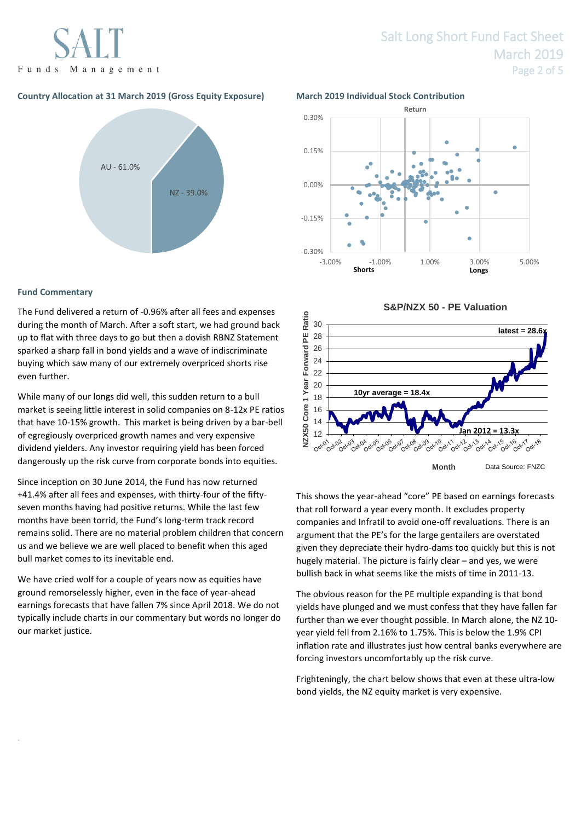Funds Management

## **Country Allocation at 31 March 2019 (Gross Equity Exposure) March 2019 Individual Stock Contribution**



### **Fund Commentary**

.

The Fund delivered a return of -0.96% after all fees and expenses during the month of March. After a soft start, we had ground back up to flat with three days to go but then a dovish RBNZ Statement sparked a sharp fall in bond yields and a wave of indiscriminate buying which saw many of our extremely overpriced shorts rise even further.

While many of our longs did well, this sudden return to a bull market is seeing little interest in solid companies on 8-12x PE ratios that have 10-15% growth. This market is being driven by a bar-bell of egregiously overpriced growth names and very expensive dividend yielders. Any investor requiring yield has been forced dangerously up the risk curve from corporate bonds into equities.

Since inception on 30 June 2014, the Fund has now returned +41.4% after all fees and expenses, with thirty-four of the fiftyseven months having had positive returns. While the last few months have been torrid, the Fund's long-term track record remains solid. There are no material problem children that concern us and we believe we are well placed to benefit when this aged bull market comes to its inevitable end.

We have cried wolf for a couple of years now as equities have ground remorselessly higher, even in the face of year-ahead earnings forecasts that have fallen 7% since April 2018. We do not typically include charts in our commentary but words no longer do our market justice.



**S&P/NZX 50 - PE Valuation**



This shows the year-ahead "core" PE based on earnings forecasts that roll forward a year every month. It excludes property companies and Infratil to avoid one-off revaluations. There is an argument that the PE's for the large gentailers are overstated given they depreciate their hydro-dams too quickly but this is not hugely material. The picture is fairly clear – and yes, we were bullish back in what seems like the mists of time in 2011-13.

The obvious reason for the PE multiple expanding is that bond yields have plunged and we must confess that they have fallen far further than we ever thought possible. In March alone, the NZ 10 year yield fell from 2.16% to 1.75%. This is below the 1.9% CPI inflation rate and illustrates just how central banks everywhere are forcing investors uncomfortably up the risk curve.

Frighteningly, the chart below shows that even at these ultra-low bond yields, the NZ equity market is very expensive.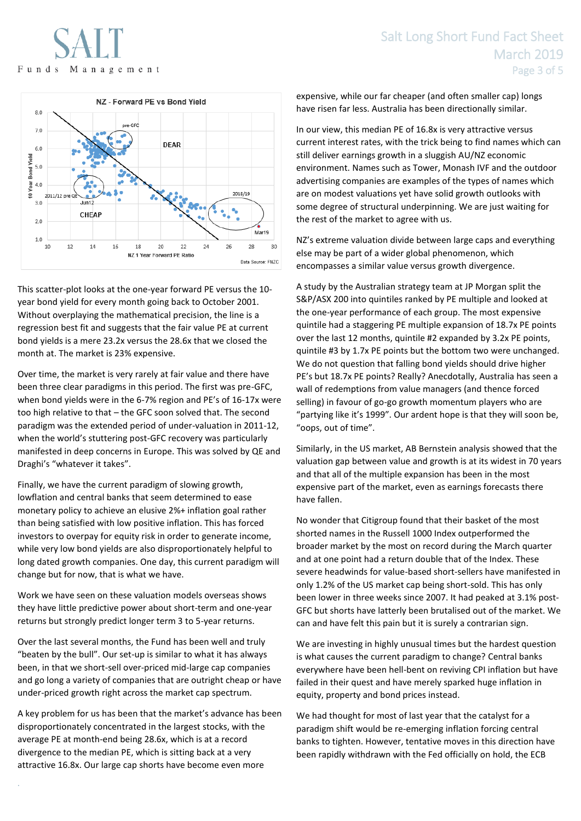

This scatter-plot looks at the one-year forward PE versus the 10 year bond yield for every month going back to October 2001. Without overplaying the mathematical precision, the line is a regression best fit and suggests that the fair value PE at current bond yields is a mere 23.2x versus the 28.6x that we closed the month at. The market is 23% expensive.

Over time, the market is very rarely at fair value and there have been three clear paradigms in this period. The first was pre-GFC, when bond yields were in the 6-7% region and PE's of 16-17x were too high relative to that – the GFC soon solved that. The second paradigm was the extended period of under-valuation in 2011-12, when the world's stuttering post-GFC recovery was particularly manifested in deep concerns in Europe. This was solved by QE and Draghi's "whatever it takes".

Finally, we have the current paradigm of slowing growth, lowflation and central banks that seem determined to ease monetary policy to achieve an elusive 2%+ inflation goal rather than being satisfied with low positive inflation. This has forced investors to overpay for equity risk in order to generate income, while very low bond yields are also disproportionately helpful to long dated growth companies. One day, this current paradigm will change but for now, that is what we have.

Work we have seen on these valuation models overseas shows they have little predictive power about short-term and one-year returns but strongly predict longer term 3 to 5-year returns.

Over the last several months, the Fund has been well and truly "beaten by the bull". Our set-up is similar to what it has always been, in that we short-sell over-priced mid-large cap companies and go long a variety of companies that are outright cheap or have under-priced growth right across the market cap spectrum.

A key problem for us has been that the market's advance has been disproportionately concentrated in the largest stocks, with the average PE at month-end being 28.6x, which is at a record divergence to the median PE, which is sitting back at a very attractive 16.8x. Our large cap shorts have become even more

.

expensive, while our far cheaper (and often smaller cap) longs have risen far less. Australia has been directionally similar.

In our view, this median PE of 16.8x is very attractive versus current interest rates, with the trick being to find names which can still deliver earnings growth in a sluggish AU/NZ economic environment. Names such as Tower, Monash IVF and the outdoor advertising companies are examples of the types of names which are on modest valuations yet have solid growth outlooks with some degree of structural underpinning. We are just waiting for the rest of the market to agree with us.

NZ's extreme valuation divide between large caps and everything else may be part of a wider global phenomenon, which encompasses a similar value versus growth divergence.

A study by the Australian strategy team at JP Morgan split the S&P/ASX 200 into quintiles ranked by PE multiple and looked at the one-year performance of each group. The most expensive quintile had a staggering PE multiple expansion of 18.7x PE points over the last 12 months, quintile #2 expanded by 3.2x PE points, quintile #3 by 1.7x PE points but the bottom two were unchanged. We do not question that falling bond yields should drive higher PE's but 18.7x PE points? Really? Anecdotally, Australia has seen a wall of redemptions from value managers (and thence forced selling) in favour of go-go growth momentum players who are "partying like it's 1999". Our ardent hope is that they will soon be, "oops, out of time".

Similarly, in the US market, AB Bernstein analysis showed that the valuation gap between value and growth is at its widest in 70 years and that all of the multiple expansion has been in the most expensive part of the market, even as earnings forecasts there have fallen.

No wonder that Citigroup found that their basket of the most shorted names in the Russell 1000 Index outperformed the broader market by the most on record during the March quarter and at one point had a return double that of the Index. These severe headwinds for value-based short-sellers have manifested in only 1.2% of the US market cap being short-sold. This has only been lower in three weeks since 2007. It had peaked at 3.1% post-GFC but shorts have latterly been brutalised out of the market. We can and have felt this pain but it is surely a contrarian sign.

We are investing in highly unusual times but the hardest question is what causes the current paradigm to change? Central banks everywhere have been hell-bent on reviving CPI inflation but have failed in their quest and have merely sparked huge inflation in equity, property and bond prices instead.

We had thought for most of last year that the catalyst for a paradigm shift would be re-emerging inflation forcing central banks to tighten. However, tentative moves in this direction have been rapidly withdrawn with the Fed officially on hold, the ECB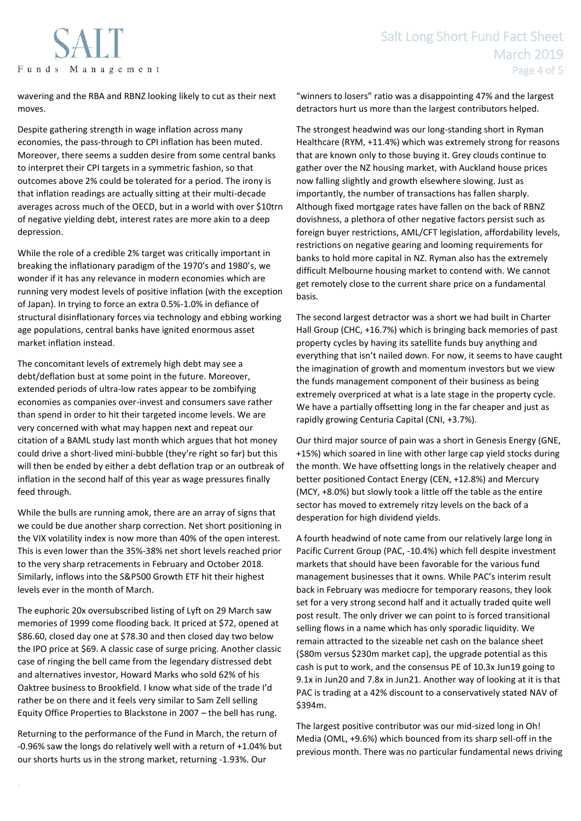

wavering and the RBA and RBNZ looking likely to cut as their next moves.

Despite gathering strength in wage inflation across many economies, the pass-through to CPI inflation has been muted. Moreover, there seems a sudden desire from some central banks to interpret their CPI targets in a symmetric fashion, so that outcomes above 2% could be tolerated for a period. The irony is that inflation readings are actually sitting at their multi-decade averages across much of the OECD, but in a world with over \$10trn of negative yielding debt, interest rates are more akin to a deep depression.

While the role of a credible 2% target was critically important in breaking the inflationary paradigm of the 1970's and 1980's, we wonder if it has any relevance in modern economies which are running very modest levels of positive inflation (with the exception of Japan). In trying to force an extra 0.5%-1.0% in defiance of structural disinflationary forces via technology and ebbing working age populations, central banks have ignited enormous asset market inflation instead.

The concomitant levels of extremely high debt may see a debt/deflation bust at some point in the future. Moreover, extended periods of ultra-low rates appear to be zombifying economies as companies over-invest and consumers save rather than spend in order to hit their targeted income levels. We are very concerned with what may happen next and repeat our citation of a BAML study last month which argues that hot money could drive a short-lived mini-bubble (they're right so far) but this will then be ended by either a debt deflation trap or an outbreak of inflation in the second half of this year as wage pressures finally feed through.

While the bulls are running amok, there are an array of signs that we could be due another sharp correction. Net short positioning in the VIX volatility index is now more than 40% of the open interest. This is even lower than the 35%-38% net short levels reached prior to the very sharp retracements in February and October 2018. Similarly, inflows into the S&P500 Growth ETF hit their highest levels ever in the month of March.

The euphoric 20x oversubscribed listing of Lyft on 29 March saw memories of 1999 come flooding back. It priced at \$72, opened at \$86.60, closed day one at \$78.30 and then closed day two below the IPO price at \$69. A classic case of surge pricing. Another classic case of ringing the bell came from the legendary distressed debt and alternatives investor, Howard Marks who sold 62% of his Oaktree business to Brookfield. I know what side of the trade I'd rather be on there and it feels very similar to Sam Zell selling Equity Office Properties to Blackstone in 2007 – the bell has rung.

Returning to the performance of the Fund in March, the return of -0.96% saw the longs do relatively well with a return of +1.04% but our shorts hurts us in the strong market, returning -1.93%. Our

.

"winners to losers" ratio was a disappointing 47% and the largest detractors hurt us more than the largest contributors helped.

The strongest headwind was our long-standing short in Ryman Healthcare (RYM, +11.4%) which was extremely strong for reasons that are known only to those buying it. Grey clouds continue to gather over the NZ housing market, with Auckland house prices now falling slightly and growth elsewhere slowing. Just as importantly, the number of transactions has fallen sharply. Although fixed mortgage rates have fallen on the back of RBNZ dovishness, a plethora of other negative factors persist such as foreign buyer restrictions, AML/CFT legislation, affordability levels, restrictions on negative gearing and looming requirements for banks to hold more capital in NZ. Ryman also has the extremely difficult Melbourne housing market to contend with. We cannot get remotely close to the current share price on a fundamental basis.

The second largest detractor was a short we had built in Charter Hall Group (CHC, +16.7%) which is bringing back memories of past property cycles by having its satellite funds buy anything and everything that isn't nailed down. For now, it seems to have caught the imagination of growth and momentum investors but we view the funds management component of their business as being extremely overpriced at what is a late stage in the property cycle. We have a partially offsetting long in the far cheaper and just as rapidly growing Centuria Capital (CNI, +3.7%).

Our third major source of pain was a short in Genesis Energy (GNE, +15%) which soared in line with other large cap yield stocks during the month. We have offsetting longs in the relatively cheaper and better positioned Contact Energy (CEN, +12.8%) and Mercury (MCY, +8.0%) but slowly took a little off the table as the entire sector has moved to extremely ritzy levels on the back of a desperation for high dividend yields.

A fourth headwind of note came from our relatively large long in Pacific Current Group (PAC, -10.4%) which fell despite investment markets that should have been favorable for the various fund management businesses that it owns. While PAC's interim result back in February was mediocre for temporary reasons, they look set for a very strong second half and it actually traded quite well post result. The only driver we can point to is forced transitional selling flows in a name which has only sporadic liquidity. We remain attracted to the sizeable net cash on the balance sheet (\$80m versus \$230m market cap), the upgrade potential as this cash is put to work, and the consensus PE of 10.3x Jun19 going to 9.1x in Jun20 and 7.8x in Jun21. Another way of looking at it is that PAC is trading at a 42% discount to a conservatively stated NAV of \$394m.

The largest positive contributor was our mid-sized long in Oh! Media (OML, +9.6%) which bounced from its sharp sell-off in the previous month. There was no particular fundamental news driving